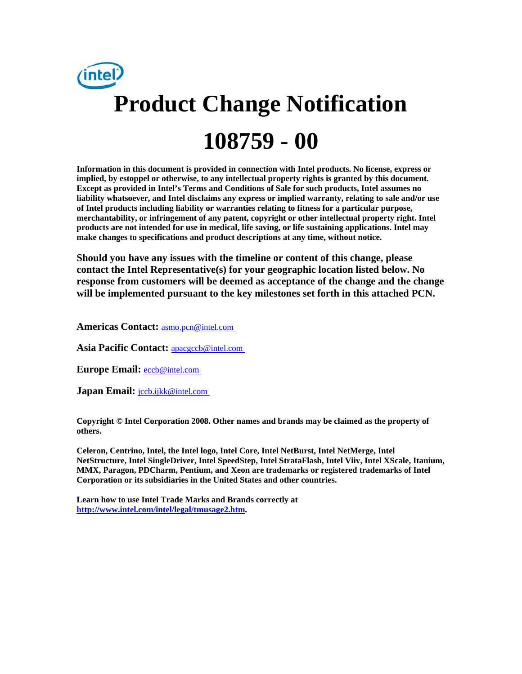

**Information in this document is provided in connection with Intel products. No license, express or implied, by estoppel or otherwise, to any intellectual property rights is granted by this document. Except as provided in Intel's Terms and Conditions of Sale for such products, Intel assumes no liability whatsoever, and Intel disclaims any express or implied warranty, relating to sale and/or use of Intel products including liability or warranties relating to fitness for a particular purpose, merchantability, or infringement of any patent, copyright or other intellectual property right. Intel products are not intended for use in medical, life saving, or life sustaining applications. Intel may make changes to specifications and product descriptions at any time, without notice.** 

**Should you have any issues with the timeline or content of this change, please contact the Intel Representative(s) for your geographic location listed below. No response from customers will be deemed as acceptance of the change and the change will be implemented pursuant to the key milestones set forth in this attached PCN.** 

**Americas Contact:** [asmo.pcn@intel.com](mailto:asmo.pcn@intel.com) 

**Asia Pacific Contact:** [apacgccb@intel.com](mailto:apacgccb@intel.com) 

Europe Email: **eccb@intel.com** 

**Japan Email:** *jccb.ijkk@intel.com* 

**Copyright © Intel Corporation 2008. Other names and brands may be claimed as the property of others.**

**Celeron, Centrino, Intel, the Intel logo, Intel Core, Intel NetBurst, Intel NetMerge, Intel NetStructure, Intel SingleDriver, Intel SpeedStep, Intel StrataFlash, Intel Viiv, Intel XScale, Itanium, MMX, Paragon, PDCharm, Pentium, and Xeon are trademarks or registered trademarks of Intel Corporation or its subsidiaries in the United States and other countries.** 

**Learn how to use Intel Trade Marks and Brands correctly at [http://www.intel.com/intel/legal/tmusage2.htm.](http://www.intel.com/intel/legal/tmusage2.htm)**